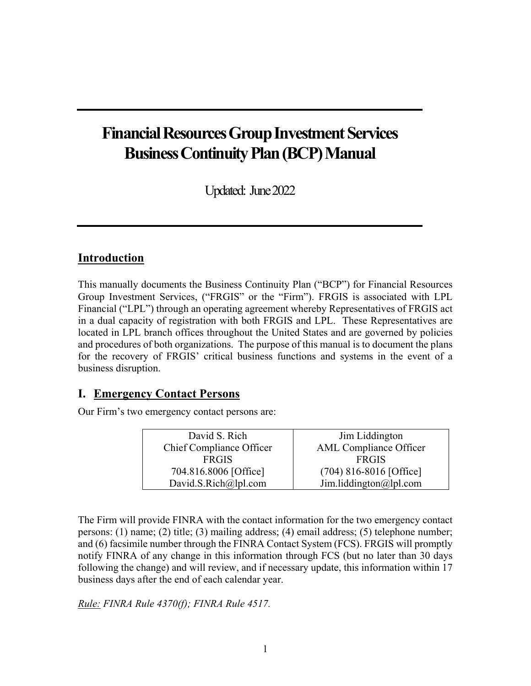# **Financial Resources Group Investment Services Business Continuity Plan (BCP) Manual**

Updated: June 2022

### **Introduction**

This manually documents the Business Continuity Plan ("BCP") for Financial Resources Group Investment Services, ("FRGIS" or the "Firm"). FRGIS is associated with LPL Financial ("LPL") through an operating agreement whereby Representatives of FRGIS act in a dual capacity of registration with both FRGIS and LPL. These Representatives are located in LPL branch offices throughout the United States and are governed by policies and procedures of both organizations. The purpose of this manual is to document the plans for the recovery of FRGIS' critical business functions and systems in the event of a business disruption.

#### **I. Emergency Contact Persons**

Our Firm's two emergency contact persons are:

| David S. Rich            | Jim Liddington                |
|--------------------------|-------------------------------|
| Chief Compliance Officer | <b>AML</b> Compliance Officer |
| <b>FRGIS</b>             | <b>FRGIS</b>                  |
| 704.816.8006 [Office]    | $(704)$ 816-8016 [Office]     |
| David.S.Rich@lpl.com     | Jim.liddington@lpl.com        |

The Firm will provide FINRA with the contact information for the two emergency contact persons: (1) name; (2) title; (3) mailing address; (4) email address; (5) telephone number; and (6) facsimile number through the FINRA Contact System (FCS). FRGIS will promptly notify FINRA of any change in this information through FCS (but no later than 30 days following the change) and will review, and if necessary update, this information within 17 business days after the end of each calendar year.

*Rule: FINRA Rule 4370(f); FINRA Rule 4517.*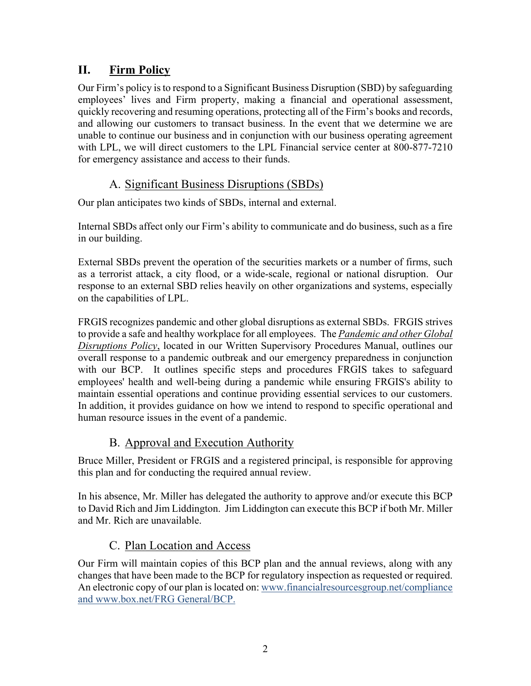# **II. Firm Policy**

Our Firm's policy is to respond to a Significant Business Disruption (SBD) by safeguarding employees' lives and Firm property, making a financial and operational assessment, quickly recovering and resuming operations, protecting all of the Firm's books and records, and allowing our customers to transact business. In the event that we determine we are unable to continue our business and in conjunction with our business operating agreement with LPL, we will direct customers to the LPL Financial service center at 800-877-7210 for emergency assistance and access to their funds.

# A. Significant Business Disruptions (SBDs)

Our plan anticipates two kinds of SBDs, internal and external.

Internal SBDs affect only our Firm's ability to communicate and do business, such as a fire in our building.

External SBDs prevent the operation of the securities markets or a number of firms, such as a terrorist attack, a city flood, or a wide-scale, regional or national disruption. Our response to an external SBD relies heavily on other organizations and systems, especially on the capabilities of LPL.

FRGIS recognizes pandemic and other global disruptions as external SBDs. FRGIS strives to provide a safe and healthy workplace for all employees. The *Pandemic and other Global Disruptions Policy*, located in our Written Supervisory Procedures Manual, outlines our overall response to a pandemic outbreak and our emergency preparedness in conjunction with our BCP. It outlines specific steps and procedures FRGIS takes to safeguard employees' health and well-being during a pandemic while ensuring FRGIS's ability to maintain essential operations and continue providing essential services to our customers. In addition, it provides guidance on how we intend to respond to specific operational and human resource issues in the event of a pandemic.

# B. Approval and Execution Authority

Bruce Miller, President or FRGIS and a registered principal, is responsible for approving this plan and for conducting the required annual review.

In his absence, Mr. Miller has delegated the authority to approve and/or execute this BCP to David Rich and Jim Liddington. Jim Liddington can execute this BCP if both Mr. Miller and Mr. Rich are unavailable.

# C. Plan Location and Access

Our Firm will maintain copies of this BCP plan and the annual reviews, along with any changes that have been made to the BCP for regulatory inspection as requested or required. An electronic copy of our plan is located on: www.financialresourcesgroup.net/compliance and www.box.net/FRG General/BCP.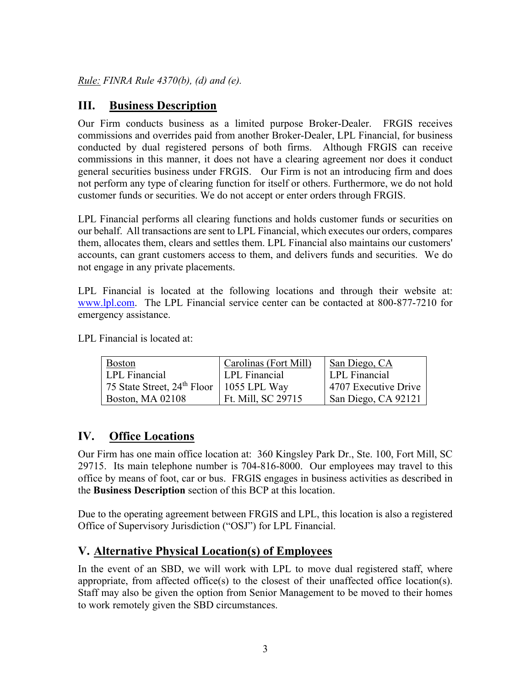*Rule: FINRA Rule 4370(b), (d) and (e).* 

## **III. Business Description**

Our Firm conducts business as a limited purpose Broker-Dealer. FRGIS receives commissions and overrides paid from another Broker-Dealer, LPL Financial, for business conducted by dual registered persons of both firms. Although FRGIS can receive commissions in this manner, it does not have a clearing agreement nor does it conduct general securities business under FRGIS. Our Firm is not an introducing firm and does not perform any type of clearing function for itself or others. Furthermore, we do not hold customer funds or securities. We do not accept or enter orders through FRGIS.

LPL Financial performs all clearing functions and holds customer funds or securities on our behalf. All transactions are sent to LPL Financial, which executes our orders, compares them, allocates them, clears and settles them. LPL Financial also maintains our customers' accounts, can grant customers access to them, and delivers funds and securities. We do not engage in any private placements.

LPL Financial is located at the following locations and through their website at: www.lpl.com. The LPL Financial service center can be contacted at 800-877-7210 for emergency assistance.

LPL Financial is located at:

| <b>Boston</b>                                | Carolinas (Fort Mill) | San Diego, CA        |
|----------------------------------------------|-----------------------|----------------------|
| <b>LPL</b> Financial                         | LPL Financial         | LPL Financial        |
| 75 State Street, $24th$ Floor   1055 LPL Way |                       | 4707 Executive Drive |
| <b>Boston, MA 02108</b>                      | Ft. Mill, SC 29715    | San Diego, CA 92121  |

### **IV. Office Locations**

Our Firm has one main office location at: 360 Kingsley Park Dr., Ste. 100, Fort Mill, SC 29715. Its main telephone number is 704-816-8000. Our employees may travel to this office by means of foot, car or bus. FRGIS engages in business activities as described in the **Business Description** section of this BCP at this location.

Due to the operating agreement between FRGIS and LPL, this location is also a registered Office of Supervisory Jurisdiction ("OSJ") for LPL Financial.

#### **V. Alternative Physical Location(s) of Employees**

In the event of an SBD, we will work with LPL to move dual registered staff, where appropriate, from affected office(s) to the closest of their unaffected office location(s). Staff may also be given the option from Senior Management to be moved to their homes to work remotely given the SBD circumstances.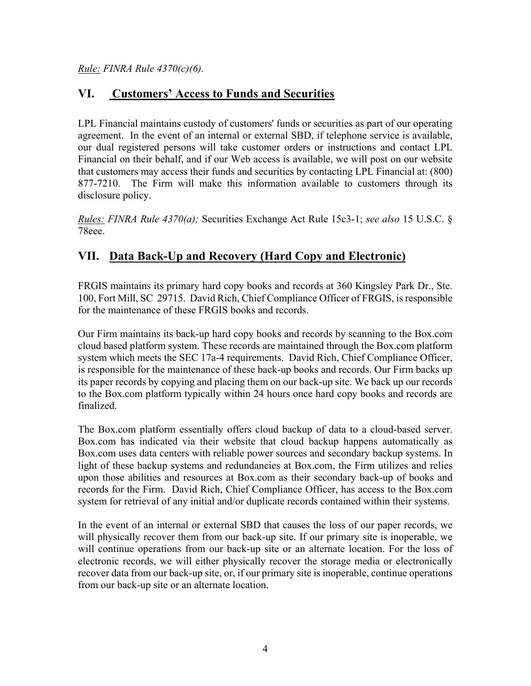*Rule: FINRA Rule 4370(c)(6).*

## **VI. Customers' Access to Funds and Securities**

LPL Financial maintains custody of customers' funds or securities as part of our operating agreement. In the event of an internal or external SBD, if telephone service is available, our dual registered persons will take customer orders or instructions and contact LPL Financial on their behalf, and if our Web access is available, we will post on our website that customers may access their funds and securities by contacting LPL Financial at: (800) 877-7210. The Firm will make this information available to customers through its disclosure policy.

*Rules: FINRA Rule 4370(a);* Securities Exchange Act Rule 15c3-1; *see also* 15 U.S.C. § 78eee.

# **VII. Data Back-Up and Recovery (Hard Copy and Electronic)**

FRGIS maintains its primary hard copy books and records at 360 Kingsley Park Dr., Ste. 100, Fort Mill, SC 29715. David Rich, Chief Compliance Officer of FRGIS, is responsible for the maintenance of these FRGIS books and records.

Our Firm maintains its back-up hard copy books and records by scanning to the Box.com cloud based platform system. These records are maintained through the Box.com platform system which meets the SEC 17a-4 requirements. David Rich, Chief Compliance Officer, is responsible for the maintenance of these back-up books and records. Our Firm backs up its paper records by copying and placing them on our back-up site. We back up our records to the Box.com platform typically within 24 hours once hard copy books and records are finalized.

The Box.com platform essentially offers cloud backup of data to a cloud-based server. Box.com has indicated via their website that cloud backup happens automatically as Box.com uses data centers with reliable power sources and secondary backup systems. In light of these backup systems and redundancies at Box.com, the Firm utilizes and relies upon those abilities and resources at Box.com as their secondary back-up of books and records for the Firm. David Rich, Chief Compliance Officer, has access to the Box.com system for retrieval of any initial and/or duplicate records contained within their systems.

In the event of an internal or external SBD that causes the loss of our paper records, we will physically recover them from our back-up site. If our primary site is inoperable, we will continue operations from our back-up site or an alternate location. For the loss of electronic records, we will either physically recover the storage media or electronically recover data from our back-up site, or, if our primary site is inoperable, continue operations from our back-up site or an alternate location.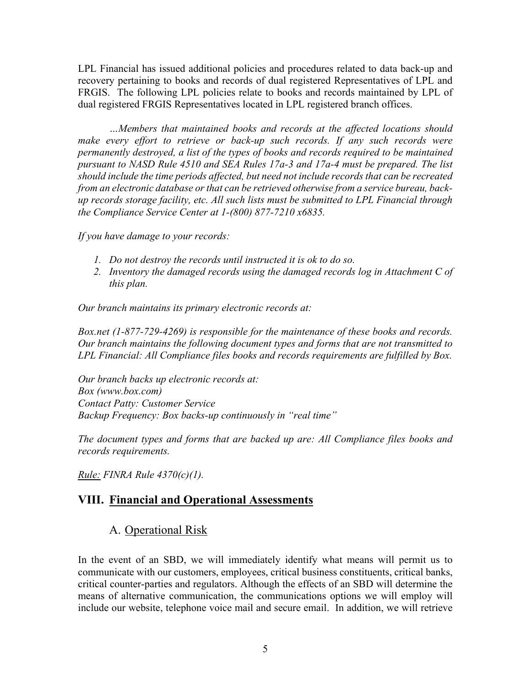LPL Financial has issued additional policies and procedures related to data back-up and recovery pertaining to books and records of dual registered Representatives of LPL and FRGIS. The following LPL policies relate to books and records maintained by LPL of dual registered FRGIS Representatives located in LPL registered branch offices.

*…Members that maintained books and records at the affected locations should*  make every effort to retrieve or back-up such records. If any such records were *permanently destroyed, a list of the types of books and records required to be maintained pursuant to NASD Rule 4510 and SEA Rules 17a-3 and 17a-4 must be prepared. The list should include the time periods affected, but need not include records that can be recreated from an electronic database or that can be retrieved otherwise from a service bureau, backup records storage facility, etc. All such lists must be submitted to LPL Financial through the Compliance Service Center at 1-(800) 877-7210 x6835.* 

*If you have damage to your records:* 

- *1. Do not destroy the records until instructed it is ok to do so.*
- *2. Inventory the damaged records using the damaged records log in Attachment C of this plan.*

*Our branch maintains its primary electronic records at:* 

*Box.net (1-877-729-4269) is responsible for the maintenance of these books and records. Our branch maintains the following document types and forms that are not transmitted to LPL Financial: All Compliance files books and records requirements are fulfilled by Box.* 

*Our branch backs up electronic records at: Box (www.box.com) Contact Patty: Customer Service Backup Frequency: Box backs-up continuously in "real time"* 

*The document types and forms that are backed up are: All Compliance files books and records requirements.* 

*Rule: FINRA Rule 4370(c)(1).*

### **VIII. Financial and Operational Assessments**

#### A. Operational Risk

In the event of an SBD, we will immediately identify what means will permit us to communicate with our customers, employees, critical business constituents, critical banks, critical counter-parties and regulators. Although the effects of an SBD will determine the means of alternative communication, the communications options we will employ will include our website, telephone voice mail and secure email. In addition, we will retrieve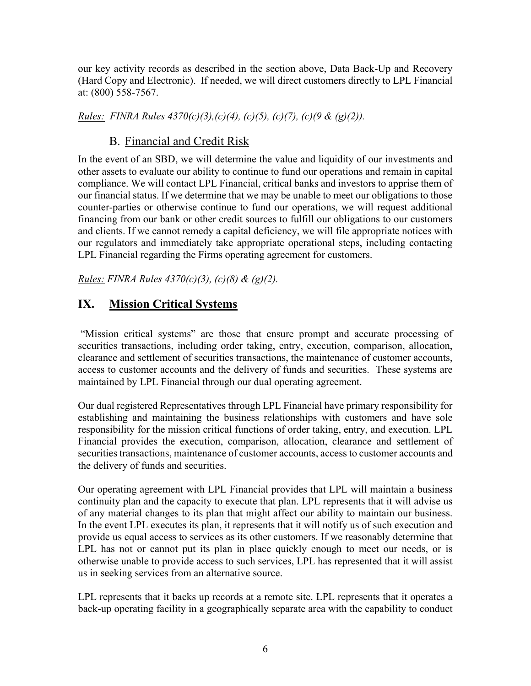our key activity records as described in the section above, Data Back-Up and Recovery (Hard Copy and Electronic). If needed, we will direct customers directly to LPL Financial at: (800) 558-7567.

*Rules: FINRA Rules 4370(c)(3),(c)(4), (c)(5), (c)(7), (c)(9 & (g)(2)).*

### B. Financial and Credit Risk

In the event of an SBD, we will determine the value and liquidity of our investments and other assets to evaluate our ability to continue to fund our operations and remain in capital compliance. We will contact LPL Financial, critical banks and investors to apprise them of our financial status. If we determine that we may be unable to meet our obligations to those counter-parties or otherwise continue to fund our operations, we will request additional financing from our bank or other credit sources to fulfill our obligations to our customers and clients. If we cannot remedy a capital deficiency, we will file appropriate notices with our regulators and immediately take appropriate operational steps, including contacting LPL Financial regarding the Firms operating agreement for customers.

*Rules: FINRA Rules 4370(c)(3), (c)(8) & (g)(2).*

# **IX. Mission Critical Systems**

 "Mission critical systems" are those that ensure prompt and accurate processing of securities transactions, including order taking, entry, execution, comparison, allocation, clearance and settlement of securities transactions, the maintenance of customer accounts, access to customer accounts and the delivery of funds and securities. These systems are maintained by LPL Financial through our dual operating agreement.

Our dual registered Representatives through LPL Financial have primary responsibility for establishing and maintaining the business relationships with customers and have sole responsibility for the mission critical functions of order taking, entry, and execution. LPL Financial provides the execution, comparison, allocation, clearance and settlement of securities transactions, maintenance of customer accounts, access to customer accounts and the delivery of funds and securities.

Our operating agreement with LPL Financial provides that LPL will maintain a business continuity plan and the capacity to execute that plan. LPL represents that it will advise us of any material changes to its plan that might affect our ability to maintain our business. In the event LPL executes its plan, it represents that it will notify us of such execution and provide us equal access to services as its other customers. If we reasonably determine that LPL has not or cannot put its plan in place quickly enough to meet our needs, or is otherwise unable to provide access to such services, LPL has represented that it will assist us in seeking services from an alternative source.

LPL represents that it backs up records at a remote site. LPL represents that it operates a back-up operating facility in a geographically separate area with the capability to conduct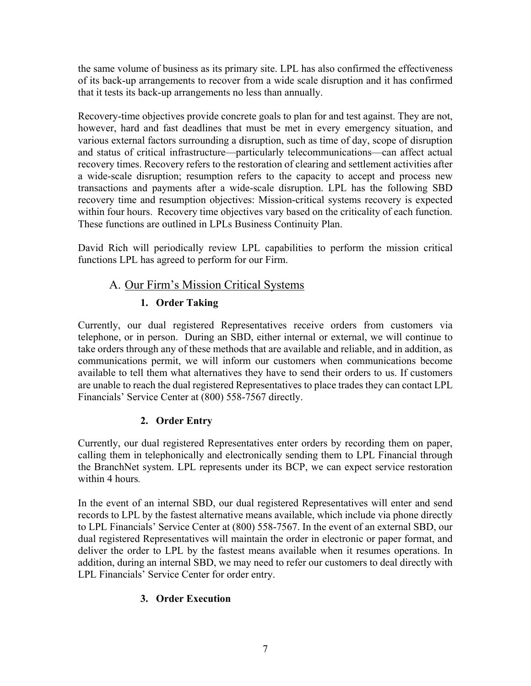the same volume of business as its primary site. LPL has also confirmed the effectiveness of its back-up arrangements to recover from a wide scale disruption and it has confirmed that it tests its back-up arrangements no less than annually.

Recovery-time objectives provide concrete goals to plan for and test against. They are not, however, hard and fast deadlines that must be met in every emergency situation, and various external factors surrounding a disruption, such as time of day, scope of disruption and status of critical infrastructure—particularly telecommunications—can affect actual recovery times. Recovery refers to the restoration of clearing and settlement activities after a wide-scale disruption; resumption refers to the capacity to accept and process new transactions and payments after a wide-scale disruption. LPL has the following SBD recovery time and resumption objectives: Mission-critical systems recovery is expected within four hours. Recovery time objectives vary based on the criticality of each function. These functions are outlined in LPLs Business Continuity Plan.

David Rich will periodically review LPL capabilities to perform the mission critical functions LPL has agreed to perform for our Firm.

### A. Our Firm's Mission Critical Systems

### **1. Order Taking**

Currently, our dual registered Representatives receive orders from customers via telephone, or in person. During an SBD, either internal or external, we will continue to take orders through any of these methods that are available and reliable, and in addition, as communications permit, we will inform our customers when communications become available to tell them what alternatives they have to send their orders to us. If customers are unable to reach the dual registered Representatives to place trades they can contact LPL Financials' Service Center at (800) 558-7567 directly.

### **2. Order Entry**

Currently, our dual registered Representatives enter orders by recording them on paper, calling them in telephonically and electronically sending them to LPL Financial through the BranchNet system. LPL represents under its BCP, we can expect service restoration within 4 hours*.* 

In the event of an internal SBD, our dual registered Representatives will enter and send records to LPL by the fastest alternative means available, which include via phone directly to LPL Financials' Service Center at (800) 558-7567. In the event of an external SBD, our dual registered Representatives will maintain the order in electronic or paper format, and deliver the order to LPL by the fastest means available when it resumes operations. In addition, during an internal SBD, we may need to refer our customers to deal directly with LPL Financials' Service Center for order entry.

# **3. Order Execution**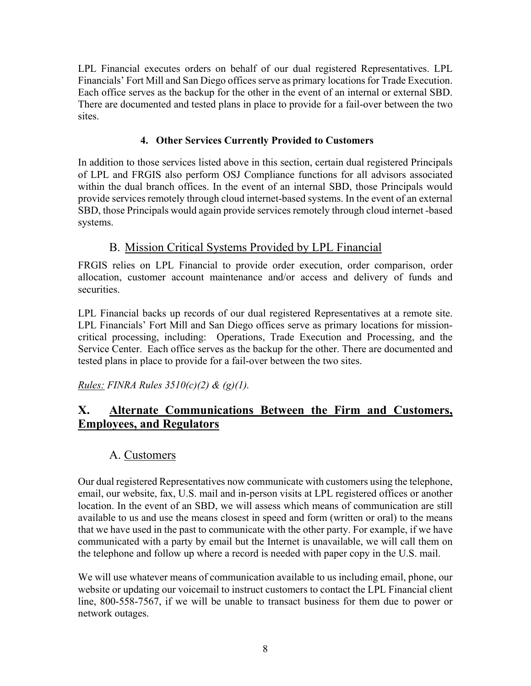LPL Financial executes orders on behalf of our dual registered Representatives. LPL Financials' Fort Mill and San Diego offices serve as primary locations for Trade Execution. Each office serves as the backup for the other in the event of an internal or external SBD. There are documented and tested plans in place to provide for a fail-over between the two sites.

#### **4. Other Services Currently Provided to Customers**

In addition to those services listed above in this section, certain dual registered Principals of LPL and FRGIS also perform OSJ Compliance functions for all advisors associated within the dual branch offices. In the event of an internal SBD, those Principals would provide services remotely through cloud internet-based systems. In the event of an external SBD, those Principals would again provide services remotely through cloud internet -based systems.

### B. Mission Critical Systems Provided by LPL Financial

FRGIS relies on LPL Financial to provide order execution, order comparison, order allocation, customer account maintenance and/or access and delivery of funds and securities.

LPL Financial backs up records of our dual registered Representatives at a remote site. LPL Financials' Fort Mill and San Diego offices serve as primary locations for missioncritical processing, including: Operations, Trade Execution and Processing, and the Service Center. Each office serves as the backup for the other. There are documented and tested plans in place to provide for a fail-over between the two sites.

*Rules: FINRA Rules 3510(c)(2) & (g)(1).* 

# **X. Alternate Communications Between the Firm and Customers, Employees, and Regulators**

# A. Customers

Our dual registered Representatives now communicate with customers using the telephone, email, our website, fax, U.S. mail and in-person visits at LPL registered offices or another location. In the event of an SBD, we will assess which means of communication are still available to us and use the means closest in speed and form (written or oral) to the means that we have used in the past to communicate with the other party. For example, if we have communicated with a party by email but the Internet is unavailable, we will call them on the telephone and follow up where a record is needed with paper copy in the U.S. mail.

We will use whatever means of communication available to us including email, phone, our website or updating our voicemail to instruct customers to contact the LPL Financial client line, 800-558-7567, if we will be unable to transact business for them due to power or network outages.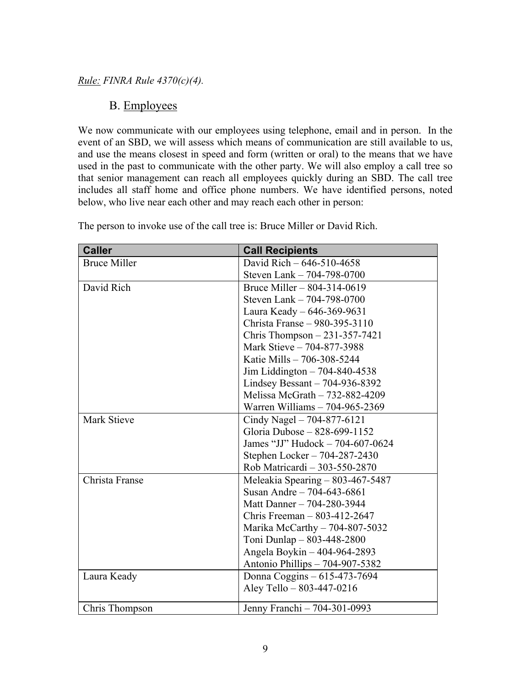#### *Rule: FINRA Rule 4370(c)(4).*

#### B. Employees

We now communicate with our employees using telephone, email and in person. In the event of an SBD, we will assess which means of communication are still available to us, and use the means closest in speed and form (written or oral) to the means that we have used in the past to communicate with the other party. We will also employ a call tree so that senior management can reach all employees quickly during an SBD. The call tree includes all staff home and office phone numbers. We have identified persons, noted below, who live near each other and may reach each other in person:

| <b>Caller</b>       | <b>Call Recipients</b>             |
|---------------------|------------------------------------|
| <b>Bruce Miller</b> | David Rich - 646-510-4658          |
|                     | Steven Lank - 704-798-0700         |
| David Rich          | Bruce Miller – 804-314-0619        |
|                     | Steven Lank - 704-798-0700         |
|                     | Laura Keady - 646-369-9631         |
|                     | Christa Franse - 980-395-3110      |
|                     | Chris Thompson $-231-357-7421$     |
|                     | Mark Stieve - 704-877-3988         |
|                     | Katie Mills - 706-308-5244         |
|                     | Jim Liddington $-704-840-4538$     |
|                     | Lindsey Bessant $-704-936-8392$    |
|                     | Melissa McGrath - 732-882-4209     |
|                     | Warren Williams - 704-965-2369     |
| Mark Stieve         | Cindy Nagel $-704-877-6121$        |
|                     | Gloria Dubose - 828-699-1152       |
|                     | James "JJ" Hudock - 704-607-0624   |
|                     | Stephen Locker - 704-287-2430      |
|                     | Rob Matricardi - 303-550-2870      |
| Christa Franse      | Meleakia Spearing - 803-467-5487   |
|                     | Susan Andre - $704 - 643 - 6861$   |
|                     | Matt Danner - 704-280-3944         |
|                     | Chris Freeman $- 803 - 412 - 2647$ |
|                     | Marika McCarthy $-704-807-5032$    |
|                     | Toni Dunlap - 803-448-2800         |
|                     | Angela Boykin - 404-964-2893       |
|                     | Antonio Phillips - 704-907-5382    |
| Laura Keady         | Donna Coggins - 615-473-7694       |
|                     | Aley Tello - 803-447-0216          |
| Chris Thompson      | Jenny Franchi - 704-301-0993       |

The person to invoke use of the call tree is: Bruce Miller or David Rich.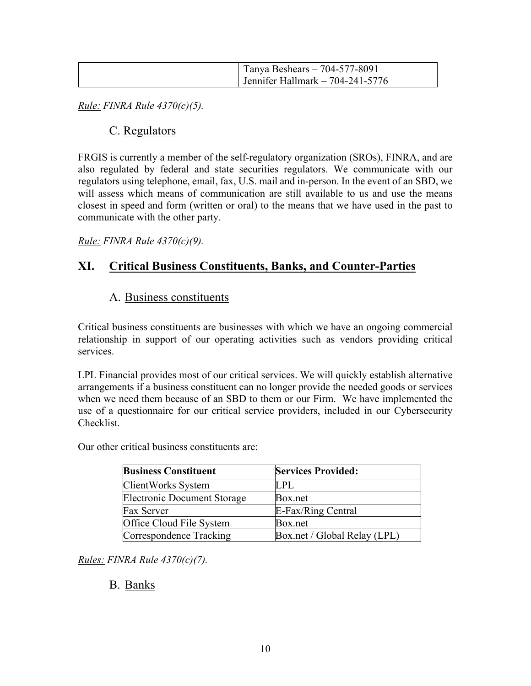| Tanya Beshears $-704-577-8091$   |
|----------------------------------|
| Bolder Hallmark - $704-241-5776$ |

*Rule: FINRA Rule 4370(c)(5).*

#### C. Regulators

FRGIS is currently a member of the self-regulatory organization (SROs), FINRA, and are also regulated by federal and state securities regulators*.* We communicate with our regulators using telephone, email, fax, U.S. mail and in-person. In the event of an SBD, we will assess which means of communication are still available to us and use the means closest in speed and form (written or oral) to the means that we have used in the past to communicate with the other party.

*Rule: FINRA Rule 4370(c)(9).*

### **XI. Critical Business Constituents, Banks, and Counter-Parties**

#### A. Business constituents

Critical business constituents are businesses with which we have an ongoing commercial relationship in support of our operating activities such as vendors providing critical services.

LPL Financial provides most of our critical services. We will quickly establish alternative arrangements if a business constituent can no longer provide the needed goods or services when we need them because of an SBD to them or our Firm. We have implemented the use of a questionnaire for our critical service providers, included in our Cybersecurity Checklist.

Our other critical business constituents are:

| <b>Business Constituent</b>        | <b>Services Provided:</b>    |
|------------------------------------|------------------------------|
| ClientWorks System                 | <b>LPL</b>                   |
| <b>Electronic Document Storage</b> | Box.net                      |
| <b>Fax Server</b>                  | E-Fax/Ring Central           |
| Office Cloud File System           | Box.net                      |
| Correspondence Tracking            | Box.net / Global Relay (LPL) |

*Rules: FINRA Rule 4370(c)(7).*

#### B. Banks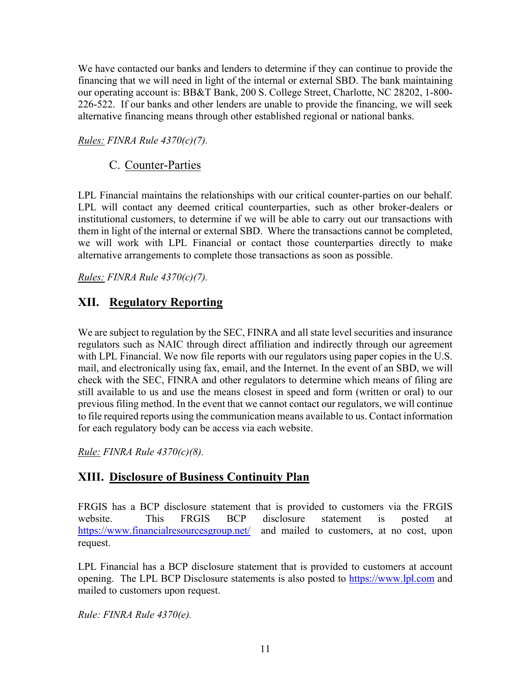We have contacted our banks and lenders to determine if they can continue to provide the financing that we will need in light of the internal or external SBD. The bank maintaining our operating account is: BB&T Bank, 200 S. College Street, Charlotte, NC 28202, 1-800- 226-522. If our banks and other lenders are unable to provide the financing, we will seek alternative financing means through other established regional or national banks.

*Rules: FINRA Rule 4370(c)(7).*

C. Counter-Parties

LPL Financial maintains the relationships with our critical counter-parties on our behalf. LPL will contact any deemed critical counterparties, such as other broker-dealers or institutional customers, to determine if we will be able to carry out our transactions with them in light of the internal or external SBD. Where the transactions cannot be completed, we will work with LPL Financial or contact those counterparties directly to make alternative arrangements to complete those transactions as soon as possible.

*Rules: FINRA Rule 4370(c)(7).*

### **XII. Regulatory Reporting**

We are subject to regulation by the SEC, FINRA and all state level securities and insurance regulators such as NAIC through direct affiliation and indirectly through our agreement with LPL Financial. We now file reports with our regulators using paper copies in the U.S. mail, and electronically using fax, email, and the Internet. In the event of an SBD, we will check with the SEC, FINRA and other regulators to determine which means of filing are still available to us and use the means closest in speed and form (written or oral) to our previous filing method. In the event that we cannot contact our regulators, we will continue to file required reports using the communication means available to us. Contact information for each regulatory body can be access via each website.

*Rule: FINRA Rule 4370(c)(8).*

# **XIII. Disclosure of Business Continuity Plan**

FRGIS has a BCP disclosure statement that is provided to customers via the FRGIS website. This FRGIS BCP disclosure statement is posted at https://www.financialresourcesgroup.net/ and mailed to customers, at no cost, upon request.

LPL Financial has a BCP disclosure statement that is provided to customers at account opening. The LPL BCP Disclosure statements is also posted to https://www.lpl.com and mailed to customers upon request.

*Rule: FINRA Rule 4370(e).*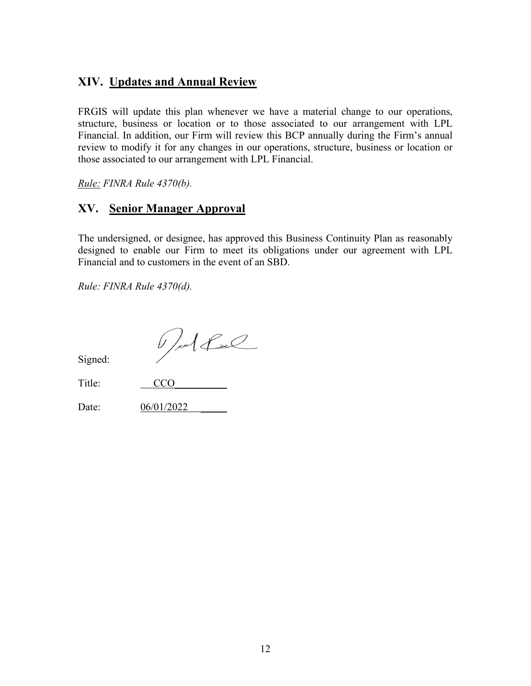# **XIV. Updates and Annual Review**

FRGIS will update this plan whenever we have a material change to our operations, structure, business or location or to those associated to our arrangement with LPL Financial. In addition, our Firm will review this BCP annually during the Firm's annual review to modify it for any changes in our operations, structure, business or location or those associated to our arrangement with LPL Financial.

*Rule: FINRA Rule 4370(b).*

### **XV. Senior Manager Approval**

The undersigned, or designee, has approved this Business Continuity Plan as reasonably designed to enable our Firm to meet its obligations under our agreement with LPL Financial and to customers in the event of an SBD.

*Rule: FINRA Rule 4370(d).* 

Pulled

Signed:

| Title: | CCO |
|--------|-----|
|        |     |

Date: 06/01/2022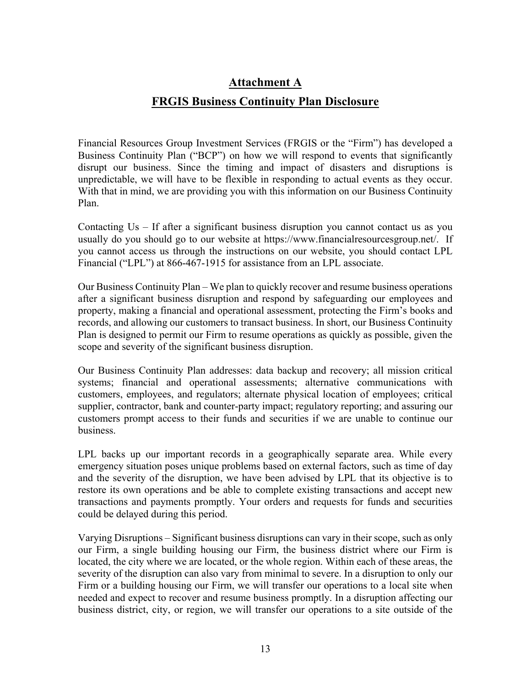# **Attachment A FRGIS Business Continuity Plan Disclosure**

Financial Resources Group Investment Services (FRGIS or the "Firm") has developed a Business Continuity Plan ("BCP") on how we will respond to events that significantly disrupt our business. Since the timing and impact of disasters and disruptions is unpredictable, we will have to be flexible in responding to actual events as they occur. With that in mind, we are providing you with this information on our Business Continuity Plan.

Contacting Us – If after a significant business disruption you cannot contact us as you usually do you should go to our website at https://www.financialresourcesgroup.net/. If you cannot access us through the instructions on our website, you should contact LPL Financial ("LPL") at 866-467-1915 for assistance from an LPL associate.

Our Business Continuity Plan – We plan to quickly recover and resume business operations after a significant business disruption and respond by safeguarding our employees and property, making a financial and operational assessment, protecting the Firm's books and records, and allowing our customers to transact business. In short, our Business Continuity Plan is designed to permit our Firm to resume operations as quickly as possible, given the scope and severity of the significant business disruption.

Our Business Continuity Plan addresses: data backup and recovery; all mission critical systems; financial and operational assessments; alternative communications with customers, employees, and regulators; alternate physical location of employees; critical supplier, contractor, bank and counter-party impact; regulatory reporting; and assuring our customers prompt access to their funds and securities if we are unable to continue our business.

LPL backs up our important records in a geographically separate area. While every emergency situation poses unique problems based on external factors, such as time of day and the severity of the disruption, we have been advised by LPL that its objective is to restore its own operations and be able to complete existing transactions and accept new transactions and payments promptly. Your orders and requests for funds and securities could be delayed during this period.

Varying Disruptions – Significant business disruptions can vary in their scope, such as only our Firm, a single building housing our Firm, the business district where our Firm is located, the city where we are located, or the whole region. Within each of these areas, the severity of the disruption can also vary from minimal to severe. In a disruption to only our Firm or a building housing our Firm, we will transfer our operations to a local site when needed and expect to recover and resume business promptly. In a disruption affecting our business district, city, or region, we will transfer our operations to a site outside of the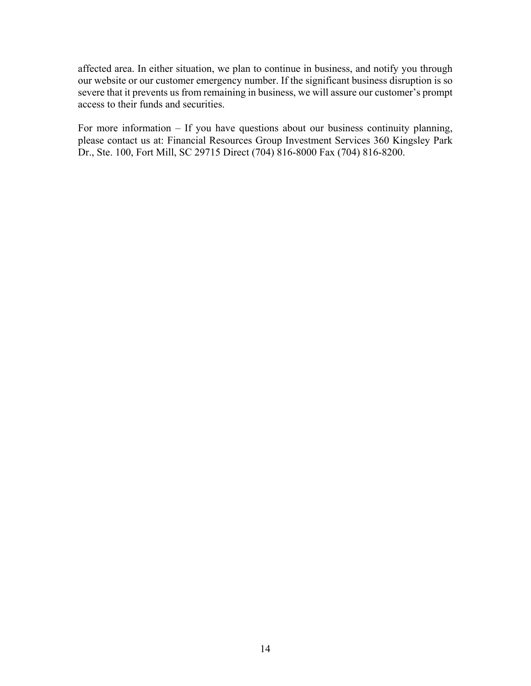affected area. In either situation, we plan to continue in business, and notify you through our website or our customer emergency number. If the significant business disruption is so severe that it prevents us from remaining in business, we will assure our customer's prompt access to their funds and securities.

For more information – If you have questions about our business continuity planning, please contact us at: Financial Resources Group Investment Services 360 Kingsley Park Dr., Ste. 100, Fort Mill, SC 29715 Direct (704) 816-8000 Fax (704) 816-8200.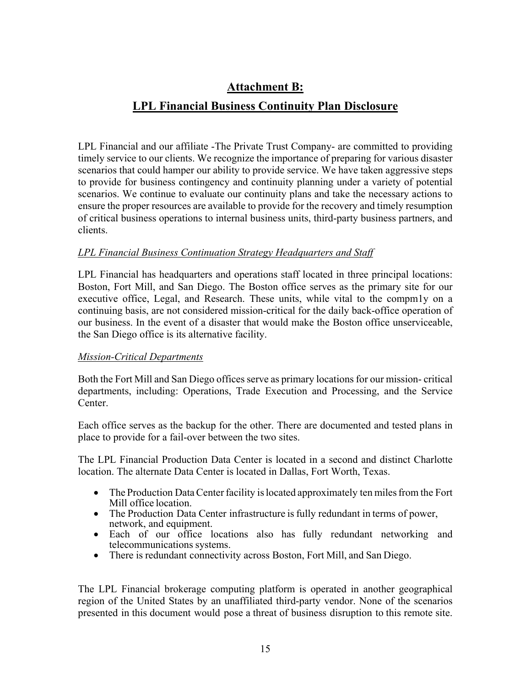# **Attachment B:**

### **LPL Financial Business Continuity Plan Disclosure**

LPL Financial and our affiliate -The Private Trust Company- are committed to providing timely service to our clients. We recognize the importance of preparing for various disaster scenarios that could hamper our ability to provide service. We have taken aggressive steps to provide for business contingency and continuity planning under a variety of potential scenarios. We continue to evaluate our continuity plans and take the necessary actions to ensure the proper resources are available to provide for the recovery and timely resumption of critical business operations to internal business units, third-party business partners, and clients.

#### *LPL Financial Business Continuation Strategy Headquarters and Staff*

LPL Financial has headquarters and operations staff located in three principal locations: Boston, Fort Mill, and San Diego. The Boston office serves as the primary site for our executive office, Legal, and Research. These units, while vital to the compm1y on a continuing basis, are not considered mission-critical for the daily back-office operation of our business. In the event of a disaster that would make the Boston office unserviceable, the San Diego office is its alternative facility.

#### *Mission-Critical Departments*

Both the Fort Mill and San Diego offices serve as primary locations for our mission- critical departments, including: Operations, Trade Execution and Processing, and the Service Center.

Each office serves as the backup for the other. There are documented and tested plans in place to provide for a fail-over between the two sites.

The LPL Financial Production Data Center is located in a second and distinct Charlotte location. The alternate Data Center is located in Dallas, Fort Worth, Texas.

- The Production Data Center facility is located approximately ten miles from the Fort Mill office location.
- The Production Data Center infrastructure is fully redundant in terms of power, network, and equipment.
- Each of our office locations also has fully redundant networking and telecommunications systems.
- There is redundant connectivity across Boston, Fort Mill, and San Diego.

The LPL Financial brokerage computing platform is operated in another geographical region of the United States by an unaffiliated third-party vendor. None of the scenarios presented in this document would pose a threat of business disruption to this remote site.